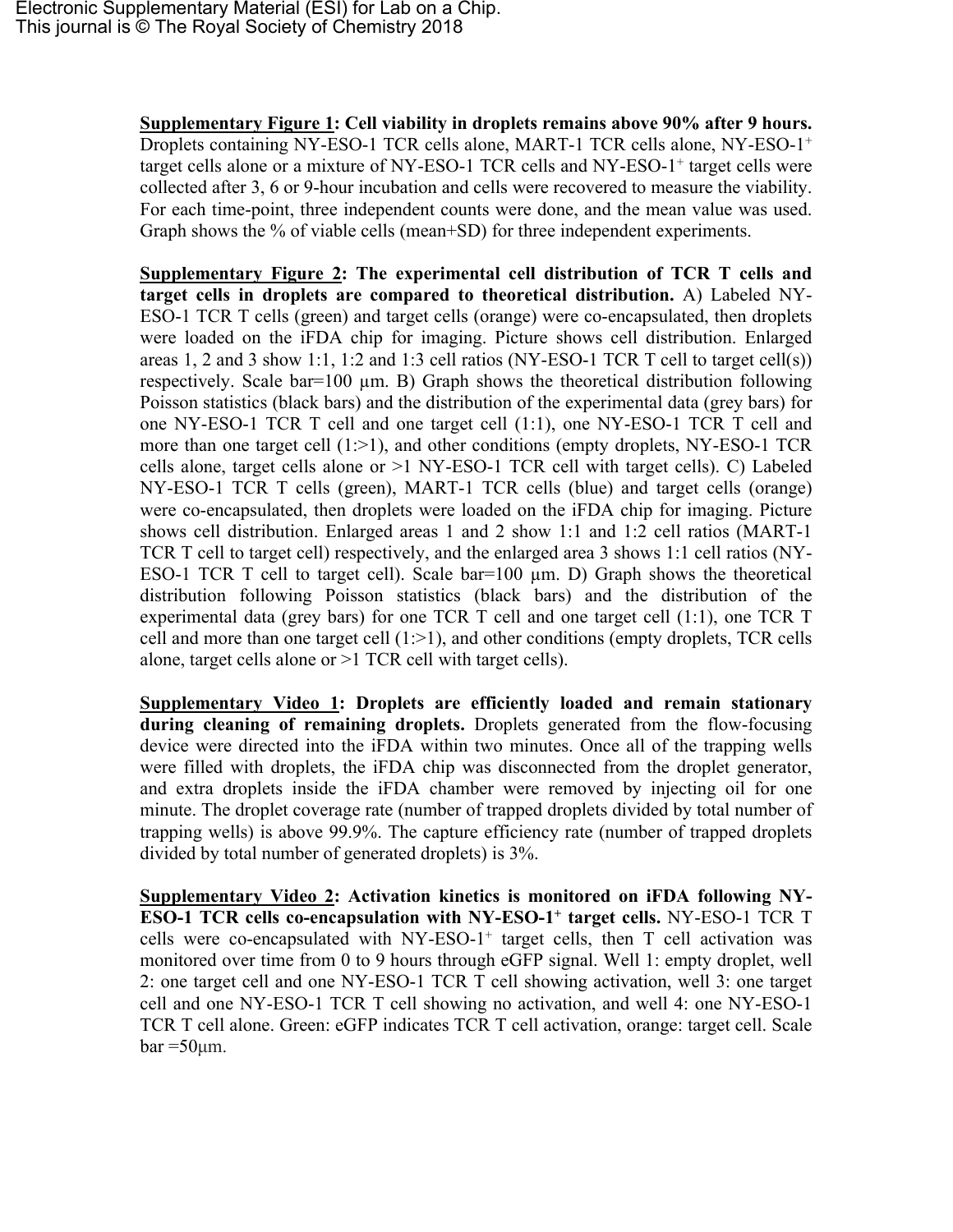**Supplementary Figure 1: Cell viability in droplets remains above 90% after 9 hours.** Droplets containing NY-ESO-1 TCR cells alone, MART-1 TCR cells alone, NY-ESO-1<sup>+</sup> target cells alone or a mixture of NY-ESO-1 TCR cells and NY-ESO-1<sup>+</sup> target cells were collected after 3, 6 or 9-hour incubation and cells were recovered to measure the viability. For each time-point, three independent counts were done, and the mean value was used. Graph shows the % of viable cells (mean+SD) for three independent experiments.

**Supplementary Figure 2: The experimental cell distribution of TCR T cells and target cells in droplets are compared to theoretical distribution.** A) Labeled NY-ESO-1 TCR T cells (green) and target cells (orange) were co-encapsulated, then droplets were loaded on the iFDA chip for imaging. Picture shows cell distribution. Enlarged areas 1, 2 and 3 show 1:1, 1:2 and 1:3 cell ratios (NY-ESO-1 TCR T cell to target cell(s)) respectively. Scale bar=100 µm. B) Graph shows the theoretical distribution following Poisson statistics (black bars) and the distribution of the experimental data (grey bars) for one NY-ESO-1 TCR T cell and one target cell (1:1), one NY-ESO-1 TCR T cell and more than one target cell  $(1;>1)$ , and other conditions (empty droplets, NY-ESO-1 TCR cells alone, target cells alone or >1 NY-ESO-1 TCR cell with target cells). C) Labeled NY-ESO-1 TCR T cells (green), MART-1 TCR cells (blue) and target cells (orange) were co-encapsulated, then droplets were loaded on the iFDA chip for imaging. Picture shows cell distribution. Enlarged areas 1 and 2 show 1:1 and 1:2 cell ratios (MART-1 TCR T cell to target cell) respectively, and the enlarged area 3 shows 1:1 cell ratios (NY-ESO-1 TCR T cell to target cell). Scale bar=100 µm. D) Graph shows the theoretical distribution following Poisson statistics (black bars) and the distribution of the experimental data (grey bars) for one TCR T cell and one target cell (1:1), one TCR T cell and more than one target cell  $(1:>1)$ , and other conditions (empty droplets, TCR cells alone, target cells alone or >1 TCR cell with target cells).

**Supplementary Video 1: Droplets are efficiently loaded and remain stationary during cleaning of remaining droplets.** Droplets generated from the flow-focusing device were directed into the iFDA within two minutes. Once all of the trapping wells were filled with droplets, the iFDA chip was disconnected from the droplet generator, and extra droplets inside the iFDA chamber were removed by injecting oil for one minute. The droplet coverage rate (number of trapped droplets divided by total number of trapping wells) is above 99.9%. The capture efficiency rate (number of trapped droplets divided by total number of generated droplets) is 3%.

**Supplementary Video 2: Activation kinetics is monitored on iFDA following NY-ESO-1 TCR cells co-encapsulation with NY-ESO-1<sup>+</sup> target cells.** NY-ESO-1 TCR T cells were co-encapsulated with  $NY-ESO-1^+$  target cells, then T cell activation was monitored over time from 0 to 9 hours through eGFP signal. Well 1: empty droplet, well 2: one target cell and one NY-ESO-1 TCR T cell showing activation, well 3: one target cell and one NY-ESO-1 TCR T cell showing no activation, and well 4: one NY-ESO-1 TCR T cell alone. Green: eGFP indicates TCR T cell activation, orange: target cell. Scale  $bar = 50 \mu m$ .